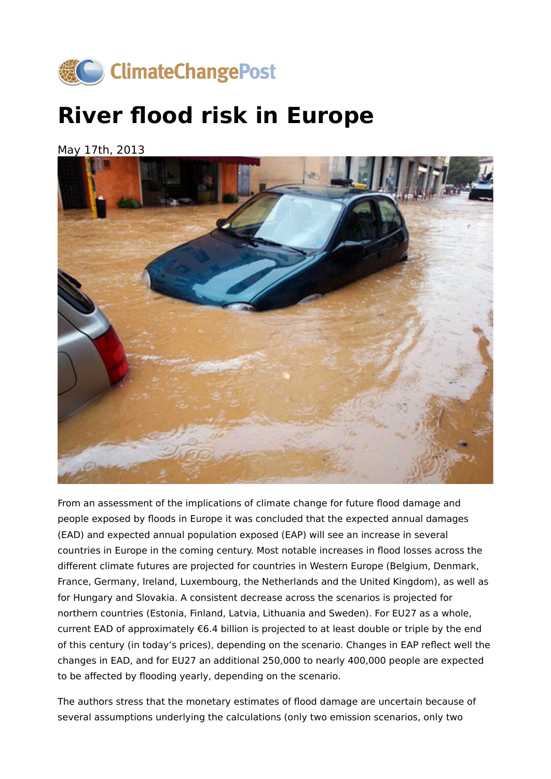

## **River flood risk in Europe**

May 17th, 2013



From an assessment of the implications of climate change for future flood damage and people exposed by floods in Europe it was concluded that the expected annual damages (EAD) and expected annual population exposed (EAP) will see an increase in several countries in Europe in the coming century. Most notable increases in flood losses across the different climate futures are projected for countries in Western Europe (Belgium, Denmark, France, Germany, Ireland, Luxembourg, the Netherlands and the United Kingdom), as well as for Hungary and Slovakia. A consistent decrease across the scenarios is projected for northern countries (Estonia, Finland, Latvia, Lithuania and Sweden). For EU27 as a whole, current EAD of approximately €6.4 billion is projected to at least double or triple by the end of this century (in today's prices), depending on the scenario. Changes in EAP reflect well the changes in EAD, and for EU27 an additional 250,000 to nearly 400,000 people are expected to be affected by flooding yearly, depending on the scenario.

The authors stress that the monetary estimates of flood damage are uncertain because of several assumptions underlying the calculations (only two emission scenarios, only two